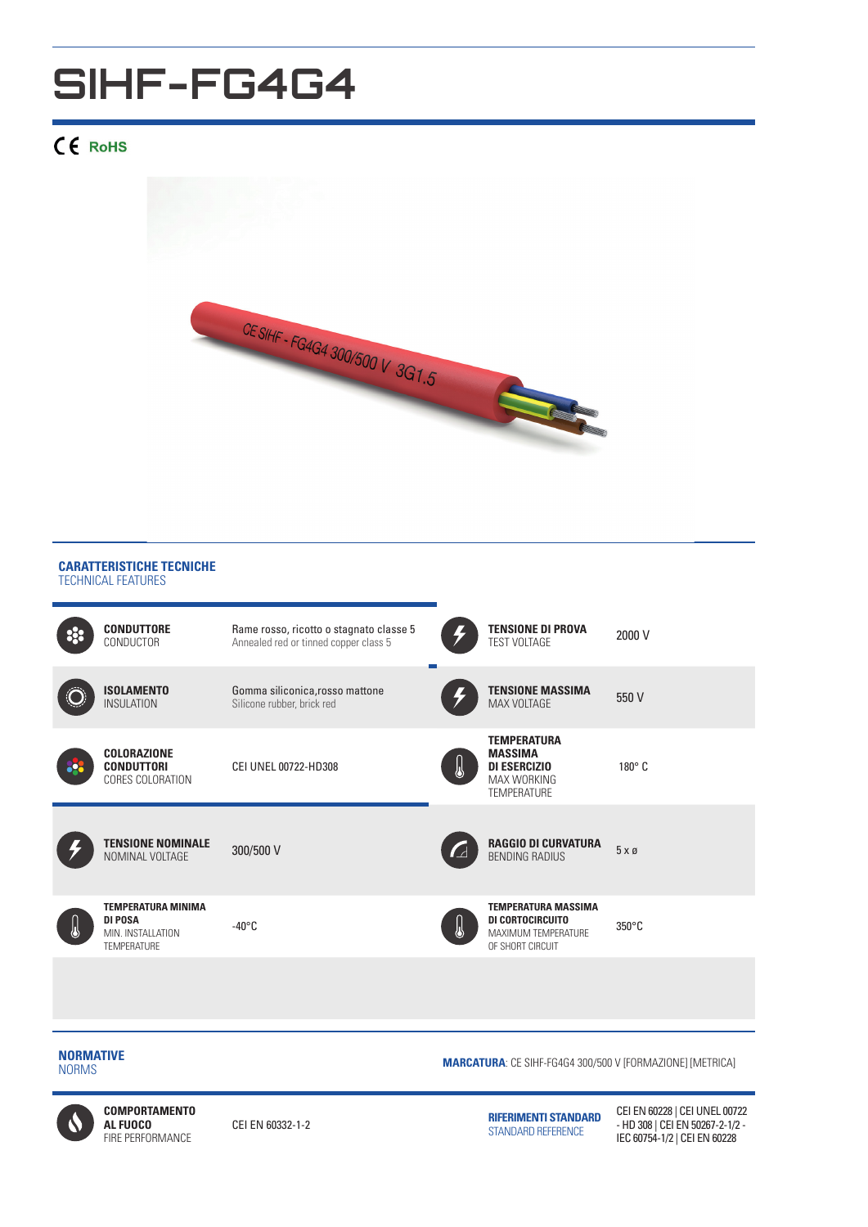## **SIHF-FG4G4**

## CE RoHS



## **CARATTERISTICHE TECNICHE** TECHNICAL FEATURES



**NORMATIVE**

**MARCATURA:** CE SIHF-FG4G4 300/500 V [FORMAZIONE] [METRICA]<br>NORMS



**COMPORTAMENTO AL FUOCO**  FIRE PERFORMANCE

CEI EN 60332-1-2 **RIFERIMENTI STANDARD** STANDARD REFERENCE

CEI EN 60228 | CEI UNEL 00722 - HD 308 | CEI EN 50267-2-1/2 - IEC 60754-1/2 | CEI EN 60228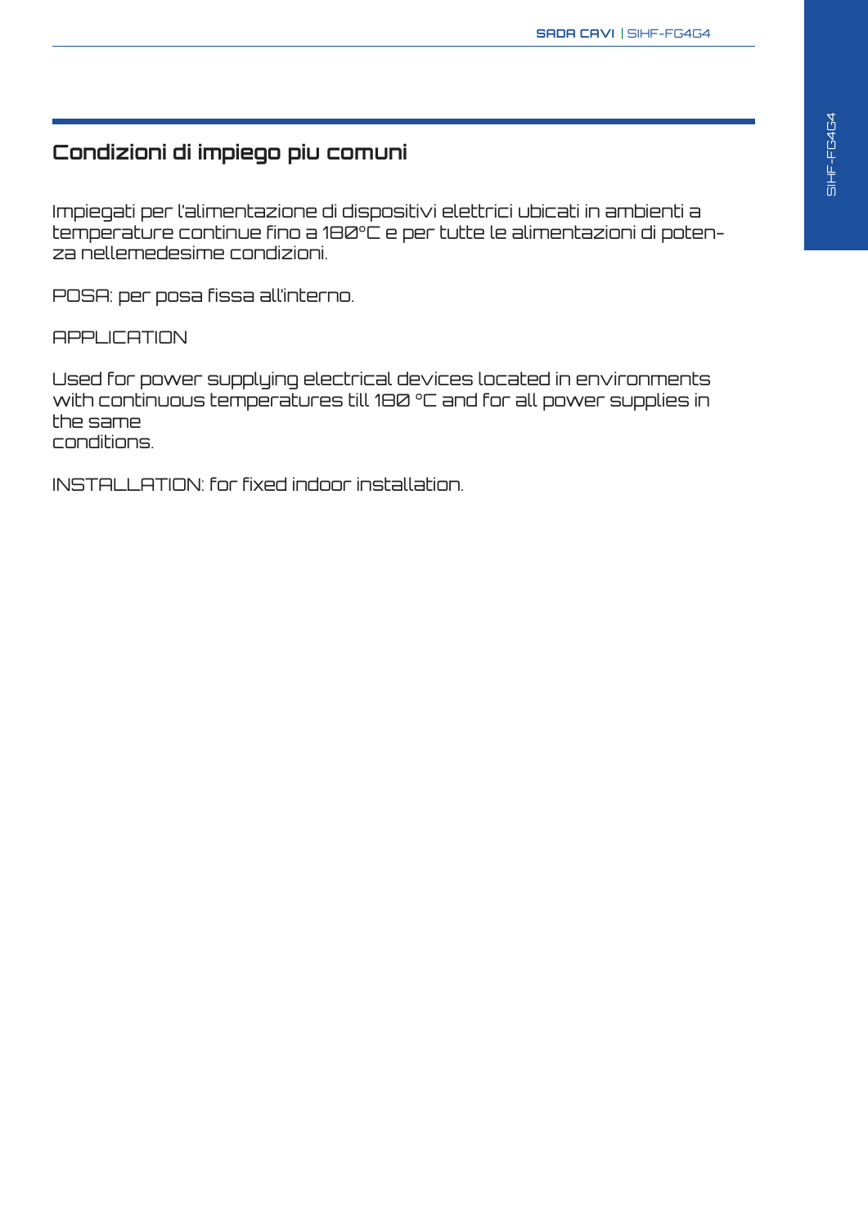## **Condizioni di impiego piu comuni**

Impiegati per l'alimentazione di dispositivi elettrici ubicati in ambienti a temperature continue fino a 180°C e per tutte le alimentazioni di potenza nellemedesime condizioni.

POSA: per posa fissa all'interno.

**APPLICATION** 

Used for power supplying electrical devices located in environments with continuous temperatures till 180 °C and for all power supplies in the same conditions.

INSTALLATION: for fixed indoor installation.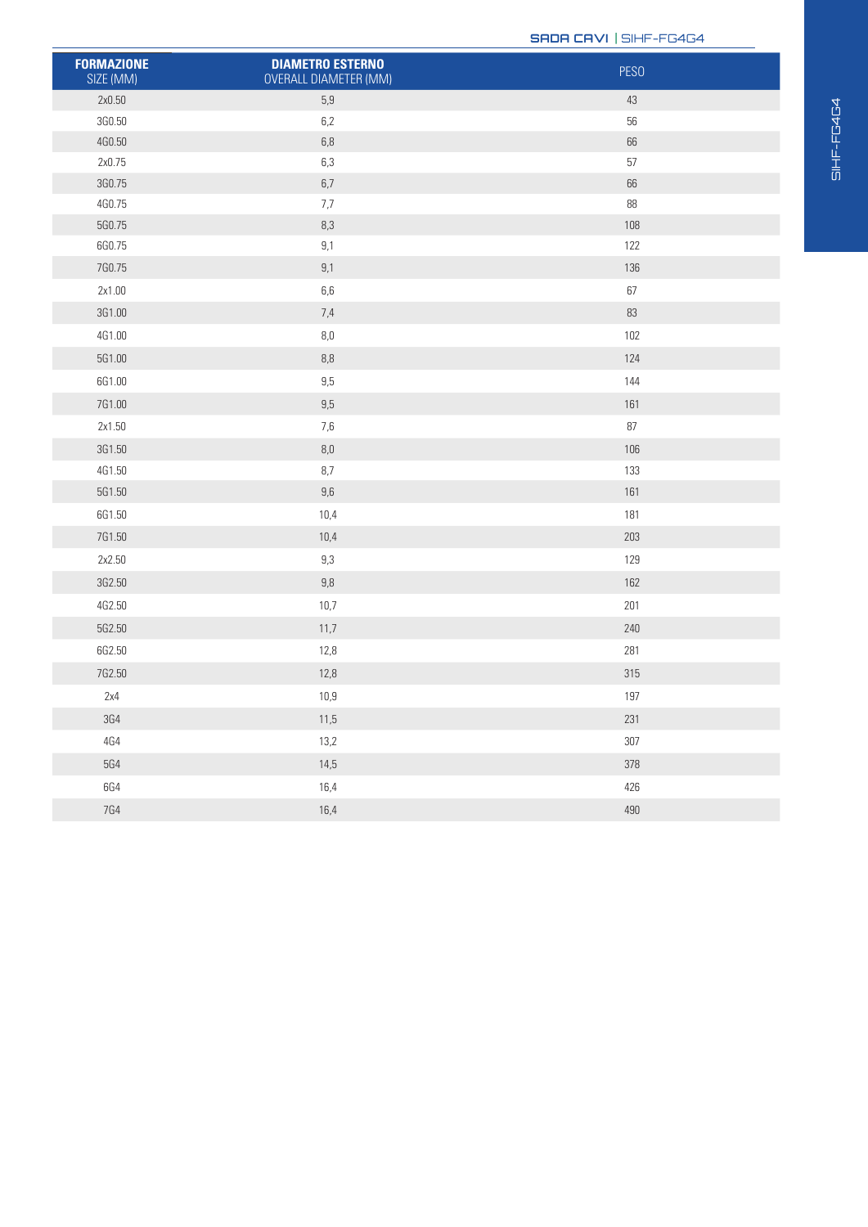**SADA CAVI** | SIHF-FG4G4

| <b>FORMAZIONE</b><br>SIZE (MM) | <b>DIAMETRO ESTERNO</b><br>OVERALL DIAMETER (MM) | <b>PESO</b> |
|--------------------------------|--------------------------------------------------|-------------|
| 2x0.50                         | 5,9                                              | 43          |
| 3G0.50                         | $6,2$                                            | $56\,$      |
| 4G0.50                         | $6,8\,$                                          | 66          |
| 2x0.75                         | $6,3$                                            | $57\,$      |
| 3G0.75                         | $6,7\,$                                          | 66          |
| 4G0.75                         | $7,\!7$                                          | 88          |
| 5G0.75                         | $8,3$                                            | 108         |
| 6G0.75                         | 9,1                                              | 122         |
| 7G0.75                         | $9,1$                                            | 136         |
| 2x1.00                         | $6, 6$                                           | $67\,$      |
| 3G1.00                         | 7,4                                              | 83          |
| 4G1.00                         | $8,\!0$                                          | 102         |
| 5G1.00                         | $8, \!\!8$                                       | 124         |
| 6G1.00                         | $9,5$                                            | 144         |
| 7G1.00                         | $9,5$                                            | 161         |
| 2x1.50                         | $7,6$                                            | $87\,$      |
| 3G1.50                         | $8,\!0$                                          | 106         |
| 4G1.50                         | $8,7$                                            | 133         |
| 5G1.50                         | $9,6\,$                                          | 161         |
| 6G1.50                         | 10,4                                             | 181         |
| 7G1.50                         | 10,4                                             | 203         |
| 2x2.50                         | $9,3$                                            | 129         |
| 3G2.50                         | $9,8$                                            | 162         |
| 4G2.50                         | 10,7                                             | 201         |
| 5G2.50                         | 11,7                                             | 240         |
| 6G2.50                         | 12,8                                             | 281         |
| 7G2.50                         | 12,8                                             | 315         |
| 2x4                            | 10,9                                             | 197         |
| $3{\rm G}4$                    | 11,5                                             | 231         |
| $4{\rm G}4$                    | 13,2                                             | 307         |
| <b>5G4</b>                     | 14,5                                             | 378         |
| <b>6G4</b>                     | 16,4                                             | 426         |
| <b>7G4</b>                     | 16,4                                             | 490         |